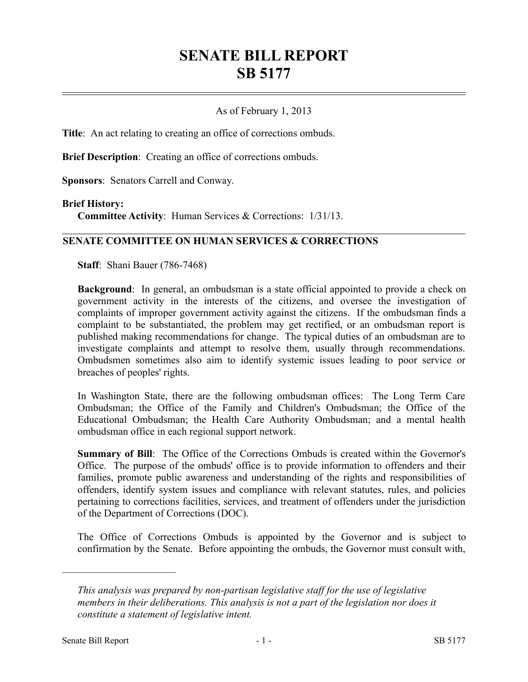# **SENATE BILL REPORT SB 5177**

## As of February 1, 2013

**Title**: An act relating to creating an office of corrections ombuds.

**Brief Description**: Creating an office of corrections ombuds.

**Sponsors**: Senators Carrell and Conway.

#### **Brief History:**

**Committee Activity**: Human Services & Corrections: 1/31/13.

### **SENATE COMMITTEE ON HUMAN SERVICES & CORRECTIONS**

**Staff**: Shani Bauer (786-7468)

**Background**: In general, an ombudsman is a state official appointed to provide a check on government activity in the interests of the citizens, and oversee the investigation of complaints of improper government activity against the citizens. If the ombudsman finds a complaint to be substantiated, the problem may get rectified, or an ombudsman report is published making recommendations for change. The typical duties of an ombudsman are to investigate complaints and attempt to resolve them, usually through recommendations. Ombudsmen sometimes also aim to identify systemic issues leading to poor service or breaches of peoples' rights.

In Washington State, there are the following ombudsman offices: The Long Term Care Ombudsman; the Office of the Family and Children's Ombudsman; the Office of the Educational Ombudsman; the Health Care Authority Ombudsman; and a mental health ombudsman office in each regional support network.

**Summary of Bill**: The Office of the Corrections Ombuds is created within the Governor's Office. The purpose of the ombuds' office is to provide information to offenders and their families, promote public awareness and understanding of the rights and responsibilities of offenders, identify system issues and compliance with relevant statutes, rules, and policies pertaining to corrections facilities, services, and treatment of offenders under the jurisdiction of the Department of Corrections (DOC).

The Office of Corrections Ombuds is appointed by the Governor and is subject to confirmation by the Senate. Before appointing the ombuds, the Governor must consult with,

––––––––––––––––––––––

*This analysis was prepared by non-partisan legislative staff for the use of legislative members in their deliberations. This analysis is not a part of the legislation nor does it constitute a statement of legislative intent.*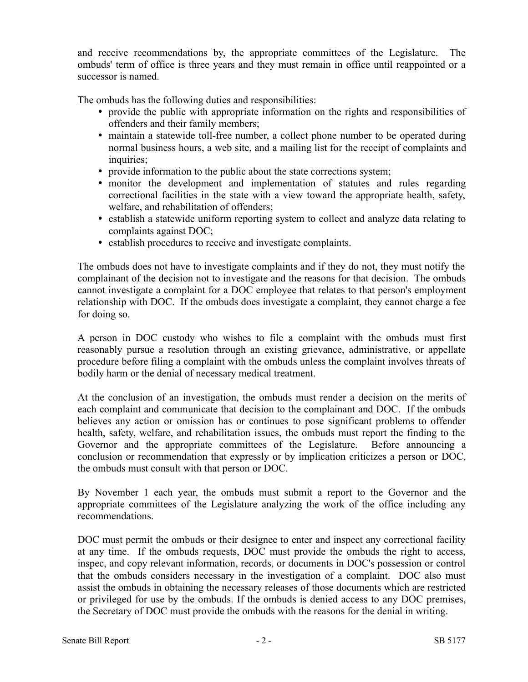and receive recommendations by, the appropriate committees of the Legislature. The ombuds' term of office is three years and they must remain in office until reappointed or a successor is named.

The ombuds has the following duties and responsibilities:

- provide the public with appropriate information on the rights and responsibilities of offenders and their family members;
- maintain a statewide toll-free number, a collect phone number to be operated during normal business hours, a web site, and a mailing list for the receipt of complaints and inquiries;
- provide information to the public about the state corrections system;
- monitor the development and implementation of statutes and rules regarding correctional facilities in the state with a view toward the appropriate health, safety, welfare, and rehabilitation of offenders;
- establish a statewide uniform reporting system to collect and analyze data relating to complaints against DOC;
- establish procedures to receive and investigate complaints.

The ombuds does not have to investigate complaints and if they do not, they must notify the complainant of the decision not to investigate and the reasons for that decision. The ombuds cannot investigate a complaint for a DOC employee that relates to that person's employment relationship with DOC. If the ombuds does investigate a complaint, they cannot charge a fee for doing so.

A person in DOC custody who wishes to file a complaint with the ombuds must first reasonably pursue a resolution through an existing grievance, administrative, or appellate procedure before filing a complaint with the ombuds unless the complaint involves threats of bodily harm or the denial of necessary medical treatment.

At the conclusion of an investigation, the ombuds must render a decision on the merits of each complaint and communicate that decision to the complainant and DOC. If the ombuds believes any action or omission has or continues to pose significant problems to offender health, safety, welfare, and rehabilitation issues, the ombuds must report the finding to the Governor and the appropriate committees of the Legislature. Before announcing a conclusion or recommendation that expressly or by implication criticizes a person or DOC, the ombuds must consult with that person or DOC.

By November 1 each year, the ombuds must submit a report to the Governor and the appropriate committees of the Legislature analyzing the work of the office including any recommendations.

DOC must permit the ombuds or their designee to enter and inspect any correctional facility at any time. If the ombuds requests, DOC must provide the ombuds the right to access, inspec, and copy relevant information, records, or documents in DOC's possession or control that the ombuds considers necessary in the investigation of a complaint. DOC also must assist the ombuds in obtaining the necessary releases of those documents which are restricted or privileged for use by the ombuds. If the ombuds is denied access to any DOC premises, the Secretary of DOC must provide the ombuds with the reasons for the denial in writing.